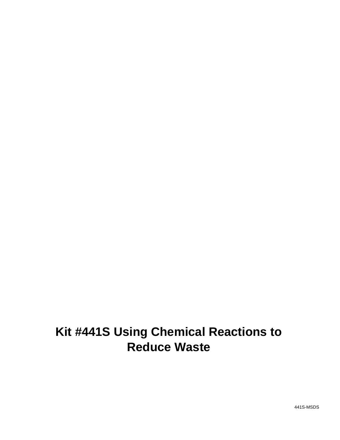# **Kit #441S Using Chemical Reactions to Reduce Waste**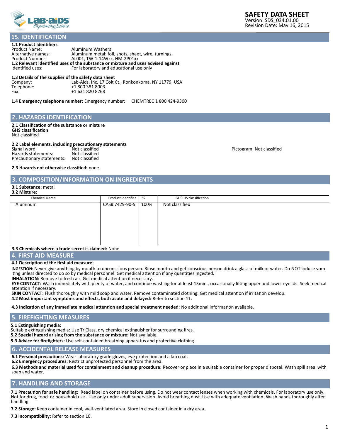

#### **1.1 Product Identifiers 15. IDENTIFICATION**

| Aluminum Washers                                                                  |
|-----------------------------------------------------------------------------------|
| Aluminum metal: foil, shots, sheet, wire, turnings.                               |
| AL001. TW-1-14Wxx. HM-2P01xx                                                      |
| 1.2 Relevant identified uses of the substance or mixture and uses advised against |
| For laboratory and educational use only                                           |
|                                                                                   |

#### **1.3 Details of the supplier of the safety data sheet**

| Company:   | Lab-Aids, Inc, 17 Colt Ct., Ronkonkoma, NY 11779, USA |
|------------|-------------------------------------------------------|
| Telephone: | +1 800 381 8003.                                      |
| Fax:       | +1 631 820 8268                                       |

**1.4 Emergency telephone number:** Emergency number: CHEMTREC 1 800 424-9300

#### **2. HAZARDS IDENTIFICATION**

**2.1 Classification of the substance or mixture GHS classification** Not classified

#### **2.2 Label elements, including precautionary statements**

| .<br>Signal word:         | Not classified |
|---------------------------|----------------|
| Hazards statements:       | Not classified |
| Precautionary statements: | Not classified |

Pictogram: Not classified

#### **2.3 Hazards not otherwise classified:** none

#### **3. COMPOSITION/INFORMATION ON INGREDIENTS**

#### **3.1 Substance:** metal **3.2 Mixture:**

| Chemical Name                                       | Product identifier | %    | GHS-US classification |
|-----------------------------------------------------|--------------------|------|-----------------------|
| Aluminum                                            | CAS# 7429-90-5     | 100% | Not classified        |
|                                                     |                    |      |                       |
|                                                     |                    |      |                       |
|                                                     |                    |      |                       |
|                                                     |                    |      |                       |
|                                                     |                    |      |                       |
|                                                     |                    |      |                       |
|                                                     |                    |      |                       |
|                                                     |                    |      |                       |
| 3.3 Chemicals where a trade secret is claimed: None |                    |      |                       |

#### **4. FIRST AID MEASURE**

#### **4.1 Description of the first aid measure:**

**INGESTION:** Never give anything by mouth to unconscious person. Rinse mouth and get conscious person drink a glass of milk or water. Do NOT induce vomiting unless directed to do so by medical personnel. Get medical attention if any quantities ingested.

**INHALATION:** Remove to fresh air. Get medical attention if necessary.

**EYE CONTACT:** Wash immediately with plenty of water, and continue washing for at least 15min., occasionally lifting upper and lower eyelids. Seek medical attention if necessary.

**SKIN CONTACT:** Flush thoroughly with mild soap and water. Remove contaminated clothing. Get medical attention if irritation develop.

**4.2 Most important symptoms and effects, both acute and delayed:** Refer to section 11.

**4.3 Indication of any immediate medical attention and special treatment needed:** No additional information available.

# **5. FIREFIGHTING MEASURES**

**5.1 Extinguishing media:**

Suitable extinguishing media: Use TriClass, dry chemical extinguisher for surrounding fires.

**5.2 Special hazard arising from the substance or mixture:** Not available.

**5.3 Advice for firefighters:** Use self-contained breathing apparatus and protective clothing.

# **6. ACCIDENTAL RELEASE MEASURES**

**6.1 Personal precautions:** Wear laboratory grade gloves, eye protection and a lab coat.

**6.2 Emergency procedures:** Restrict unprotected personnel from the area.

**6.3 Methods and material used for containment and cleanup procedure:** Recover or place in a suitable container for proper disposal. Wash spill area with soap and water.

# **7. HANDLING AND STORAGE**

**7.1 Precaution for safe handling:** Read label on container before using. Do not wear contact lenses when working with chemicals. For laboratory use only. Not for drug, food or household use. Use only under adult supervision. Avoid breathing dust. Use with adequate ventilation. Wash hands thoroughly after handling.

**7.2 Storage:** Keep container in cool, well-ventilated area. Store in closed container in a dry area.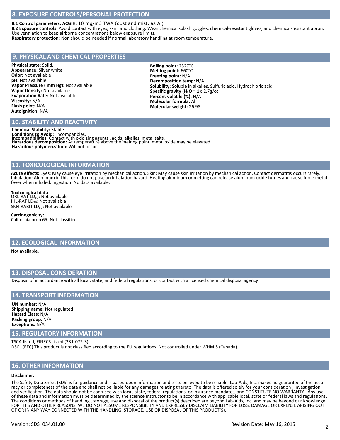# **8. EXPOSURE CONTROLS/PERSONAL PROTECTION**

**8.1 Control parameters: ACGIH:** 10 mg/m3 TWA (dust and mist, as Al)

**8.2 Exposure controls:** Avoid contact with eyes, skin, and clothing. Wear chemical splash goggles, chemical-resistant gloves, and chemical-resistant apron. Use ventilation to keep airborne concentrations below exposure limits.

**Respiratory protection:** Non should be needed if normal laboratory handling at room temperature.

# **9. PHYSICAL AND CHEMICAL PROPERTIES**

**Physical state:** Solid. **Appearance:** Silver white. **Odor:** Not available **pH:** Not available **Vapor Pressure ( mm Hg):** Not available **Vapor Density:** Not available **Evaporation Rate:** Not available **Viscosity:** N/A **Flash point:** N/A **Autoignition:** N/A

**Boiling point:** 2327°C **Melting point:** 660°C **Freezing point:** N/A **Decomposition temp:** N/A **Solubility:** Soluble in alkalies, Sulfuric acid, Hydrochloric acid. **Specific gravity (H₂O = 1):** 2.7g/cc **Percent volatile (%):** N/A **Molecular formula:** Al **Molecular weight:** 26.98

# **10. STABILITY AND REACTIVITY**

**Chemical Stability:** Stable **Conditions to Avoid:** Incompatibles.<br>Incompatibilities: Contact with oxidizing agents , acids, alkalies, metal salts.<br>Hazardous decomposition: At temperature above the melting point metal oxide may be elevated. **Hazardous polymerization:** Will not occur.

#### **11. TOXICOLOGICAL INFORMATION**

**Acute effects:** Eyes: May cause eye irritation by mechanical action. Skin: May cause skin irritation by mechanical action. Contact dermatitis occurs rarely. Inhalation: Aluminum in this form do not pose an Inhalation hazard. Heating aluminum or melting can release aluminum oxide fumes and cause fume metal fever when inhaled. Ingestion: No data available.

**Toxicological data**<br>ORL-RAT LD<sub>50</sub>: Not available IHL-RAT LD<sub>50</sub>: Not available SKN-RABIT LD<sub>50</sub>: Not available

**Carcinogenicity:**  California prop 65: Not classified

# **12. ECOLOGICAL INFORMATION**

Not available.

#### **13. DISPOSAL CONSIDERATION**

Disposal of in accordance with all local, state, and federal regulations, or contact with a licensed chemical disposal agency.

# **14. TRANSPORT INFORMATION**

**UN number:** N/A **Shipping name:** Not regulated **Hazard Class:** N/A **Packing group:** N/A **Exceptions:** N/A

#### **15. REGULATORY INFORMATION**

TSCA-listed, EINECS-listed (231-072-3) DSCL (EEC) This product is not classified according to the EU regulations. Not controlled under WHMIS (Canada).

#### **16. OTHER INFORMATION**

#### **Disclaimer:**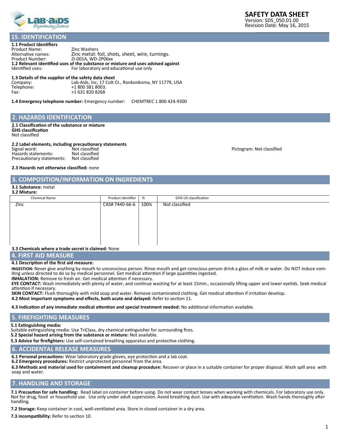

# **15. IDENTIFICATION**

| 1.1 Product Identifiers                                                           |                                                 |  |  |  |  |
|-----------------------------------------------------------------------------------|-------------------------------------------------|--|--|--|--|
| <b>Product Name:</b>                                                              | Zinc Washers                                    |  |  |  |  |
| Alternative names:                                                                | Zinc metal: foil, shots, sheet, wire, turnings. |  |  |  |  |
| <b>Product Number:</b>                                                            | ZI-001A. WD-2P06xx                              |  |  |  |  |
| 1.2 Relevant identified uses of the substance or mixture and uses advised against |                                                 |  |  |  |  |
| Identified uses:                                                                  | For laboratory and educational use only         |  |  |  |  |

**1.3 Details of the supplier of the safety data sheet**<br>Company: Lab-Aids, Inc, 17 Colt (<br>Telephone: +1 800 381 8003. Lab-Aids, Inc, 17 Colt Ct., Ronkonkoma, NY 11779, USA Telephone: +1 800 381 8003.<br>Fax: +1 631 820 8268 +1 631 820 8268

**1.4 Emergency telephone number:** Emergency number: CHEMTREC 1 800 424-9300

#### **2. HAZARDS IDENTIFICATION**

**2.1 Classification of the substance or mixture GHS classification** Not classified

#### **2.2 Label elements, including precautionary statements**

| .<br>Signal word:         | Not classified |
|---------------------------|----------------|
| Hazards statements:       | Not classified |
| Precautionary statements: | Not classified |

Pictogram: Not classified

#### **2.3 Hazards not otherwise classified:** none

#### **3. COMPOSITION/INFORMATION ON INGREDIENTS**

#### **3.1 Substance:** metal **3.2 Mixture:**

| Chemical Name                                       | Product identifier | %    | GHS-US classification |
|-----------------------------------------------------|--------------------|------|-----------------------|
| Zinc                                                | CAS# 7440-66-6     | 100% | Not classified        |
|                                                     |                    |      |                       |
|                                                     |                    |      |                       |
|                                                     |                    |      |                       |
|                                                     |                    |      |                       |
|                                                     |                    |      |                       |
|                                                     |                    |      |                       |
|                                                     |                    |      |                       |
| 3.3 Chemicals where a trade secret is claimed: None |                    |      |                       |
|                                                     |                    |      |                       |

#### **4. FIRST AID MEASURE**

#### **4.1 Description of the first aid measure:**

**INGESTION:** Never give anything by mouth to unconscious person. Rinse mouth and get conscious person drink a glass of milk or water. Do NOT induce vomiting unless directed to do so by medical personnel. Get medical attention if large quantities ingested.

**INHALATION:** Remove to fresh air. Get medical attention if necessary.

**EYE CONTACT:** Wash immediately with plenty of water, and continue washing for at least 15min., occasionally lifting upper and lower eyelids. Seek medical attention if necessary.

**SKIN CONTACT:** Flush thoroughly with mild soap and water. Remove contaminated clothing. Get medical attention if irritation develop.

**4.2 Most important symptoms and effects, both acute and delayed:** Refer to section 11.

**4.3 Indication of any immediate medical attention and special treatment needed:** No additional information available.

# **5. FIREFIGHTING MEASURES**

**5.1 Extinguishing media:**

Suitable extinguishing media: Use TriClass, dry chemical extinguisher for surrounding fires.

**5.2 Special hazard arising from the substance or mixture:** Not available.

**5.3 Advice for firefighters:** Use self-contained breathing apparatus and protective clothing.

# **6. ACCIDENTAL RELEASE MEASURES**

**6.1 Personal precautions:** Wear laboratory grade gloves, eye protection and a lab coat.

**6.2 Emergency procedures:** Restrict unprotected personnel from the area.

**6.3 Methods and material used for containment and cleanup procedure:** Recover or place in a suitable container for proper disposal. Wash spill area with soap and water.

# **7. HANDLING AND STORAGE**

**7.1 Precaution for safe handling:** Read label on container before using. Do not wear contact lenses when working with chemicals. For laboratory use only. Not for drug, food or household use. Use only under adult supervision. Avoid breathing dust. Use with adequate ventilation. Wash hands thoroughly after handling.

**7.2 Storage:** Keep container in cool, well-ventilated area. Store in closed container in a dry area.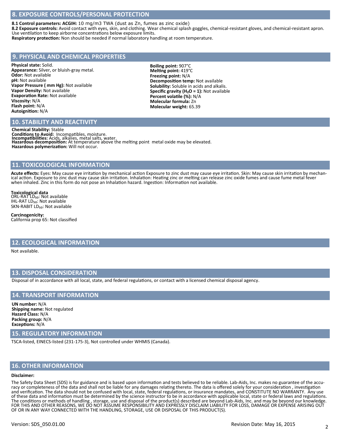# **8. EXPOSURE CONTROLS/PERSONAL PROTECTION**

**8.1 Control parameters: ACGIH:** 10 mg/m3 TWA (dust as Zn, fumes as zinc oxide)

**8.2 Exposure controls:** Avoid contact with eyes, skin, and clothing. Wear chemical splash goggles, chemical-resistant gloves, and chemical-resistant apron. Use ventilation to keep airborne concentrations below exposure limits.

**Respiratory protection:** Non should be needed if normal laboratory handling at room temperature.

# **9. PHYSICAL AND CHEMICAL PROPERTIES**

**Physical state:** Solid. **Appearance:** Silver, or bluish-gray metal. **Odor:** Not available **pH:** Not available **Vapor Pressure ( mm Hg):** Not available **Vapor Density:** Not available **Evaporation Rate:** Not available **Viscosity:** N/A **Flash point:** N/A **Autoignition:** N/A

**Boiling point:** 907°C **Melting point:** 419°C **Freezing point:** N/A **Decomposition temp:** Not available **Solubility:** Soluble in acids and alkalis. Specific gravity (H<sub>2</sub>O = 1): Not available **Percent volatile (%):** N/A **Molecular formula:** Zn **Molecular weight:** 65.39

# **10. STABILITY AND REACTIVITY**

**Chemical Stability:** Stable **Conditions to Avoid:** Incompatibles, moisture. **Incompatibilities:** Acids, alkalies, metal salts, water. **Hazardous decomposition:** At temperature above the melting point metal oxide may be elevated. **Hazardous polymerization:** Will not occur.

# **11. TOXICOLOGICAL INFORMATION**

Acute effects: Eyes: May cause eye irritation by mechanical action Exposure to zinc dust may cause eye irritation. Skin: May cause skin irritation by mechanical action. Exposure to zinc dust may cause skin irritation. Inhalation: Heating zinc or melting can release zinc oxide fumes and cause fume metal fever when inhaled. Zinc in this form do not pose an Inhalation hazard. Ingestion: Information not available.

**Toxicological data**<br>ORL-RAT LD<sub>50</sub>: Not available IHL-RAT LD<sub>50</sub>: Not available SKN-RABIT LD<sub>50</sub>: Not available

**Carcinogenicity:**  California prop 65: Not classified

# **12. ECOLOGICAL INFORMATION**

Not available.

#### **13. DISPOSAL CONSIDERATION**

Disposal of in accordance with all local, state, and federal regulations, or contact with a licensed chemical disposal agency.

#### **14. TRANSPORT INFORMATION**

**UN number:** N/A **Shipping name:** Not regulated **Hazard Class:** N/A **Packing group:** N/A **Exceptions:** N/A

#### **15. REGULATORY INFORMATION**

TSCA-listed, EINECS-listed (231-175-3), Not controlled under WHMIS (Canada).

#### **16. OTHER INFORMATION**

#### **Disclaimer:**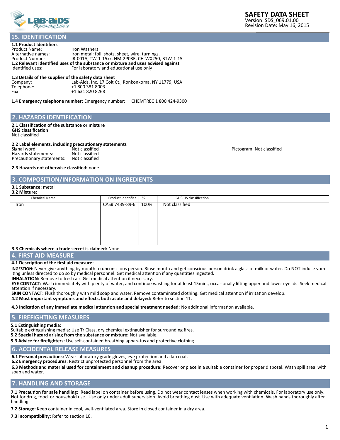

#### **1.1 Product Identifiers 15. IDENTIFICATION**

| Iron Washers                                                                      |  |  |  |  |  |
|-----------------------------------------------------------------------------------|--|--|--|--|--|
| Iron metal: foil, shots, sheet, wire, turnings.                                   |  |  |  |  |  |
| IR-001A, TW-1-15xx, HM-2P03E, CH-WX250, BTW-1-15                                  |  |  |  |  |  |
| 1.2 Relevant identified uses of the substance or mixture and uses advised against |  |  |  |  |  |
| For laboratory and educational use only                                           |  |  |  |  |  |
|                                                                                   |  |  |  |  |  |

#### **1.3 Details of the supplier of the safety data sheet**

| Company:   | Lab-Aids, Inc, 17 Colt Ct., Ronkonkoma, NY 11779, USA |
|------------|-------------------------------------------------------|
| Telephone: | +1 800 381 8003.                                      |
| Fax:       | +1 631 820 8268                                       |

**1.4 Emergency telephone number:** Emergency number: CHEMTREC 1 800 424-9300

#### **2. HAZARDS IDENTIFICATION**

**2.1 Classification of the substance or mixture GHS classification** Not classified

#### **2.2 Label elements, including precautionary statements**

|                           | . .            |
|---------------------------|----------------|
| Signal word:              | Not classified |
| Hazards statements:       | Not classified |
| Precautionary statements: | Not classified |

Pictogram: Not classified

#### **2.3 Hazards not otherwise classified:** none

#### **3. COMPOSITION/INFORMATION ON INGREDIENTS**

#### **3.1 Substance:** metal **3.2 Mixture:**

| Chemical Name                                       | Product identifier | %    | GHS-US classification |
|-----------------------------------------------------|--------------------|------|-----------------------|
| Iron                                                | CAS# 7439-89-6     | 100% | Not classified        |
|                                                     |                    |      |                       |
| 3.3 Chemicals where a trade secret is claimed: None |                    |      |                       |

#### **4. FIRST AID MEASURE**

#### **4.1 Description of the first aid measure:**

**INGESTION:** Never give anything by mouth to unconscious person. Rinse mouth and get conscious person drink a glass of milk or water. Do NOT induce vomiting unless directed to do so by medical personnel. Get medical attention if any quantities ingested.

**INHALATION:** Remove to fresh air. Get medical attention if necessary.

**EYE CONTACT:** Wash immediately with plenty of water, and continue washing for at least 15min., occasionally lifting upper and lower eyelids. Seek medical attention if necessary.

**SKIN CONTACT:** Flush thoroughly with mild soap and water. Remove contaminated clothing. Get medical attention if irritation develop.

**4.2 Most important symptoms and effects, both acute and delayed:** Refer to section 11.

**4.3 Indication of any immediate medical attention and special treatment needed:** No additional information available.

# **5. FIREFIGHTING MEASURES**

**5.1 Extinguishing media:**

Suitable extinguishing media: Use TriClass, dry chemical extinguisher for surrounding fires.

**5.2 Special hazard arising from the substance or mixture:** Not available.

**5.3 Advice for firefighters:** Use self-contained breathing apparatus and protective clothing.

# **6. ACCIDENTAL RELEASE MEASURES**

**6.1 Personal precautions:** Wear laboratory grade gloves, eye protection and a lab coat.

**6.2 Emergency procedures:** Restrict unprotected personnel from the area.

**6.3 Methods and material used for containment and cleanup procedure:** Recover or place in a suitable container for proper disposal. Wash spill area with soap and water.

# **7. HANDLING AND STORAGE**

**7.1 Precaution for safe handling:** Read label on container before using. Do not wear contact lenses when working with chemicals. For laboratory use only. Not for drug, food or household use. Use only under adult supervision. Avoid breathing dust. Use with adequate ventilation. Wash hands thoroughly after handling.

**7.2 Storage:** Keep container in cool, well-ventilated area. Store in closed container in a dry area.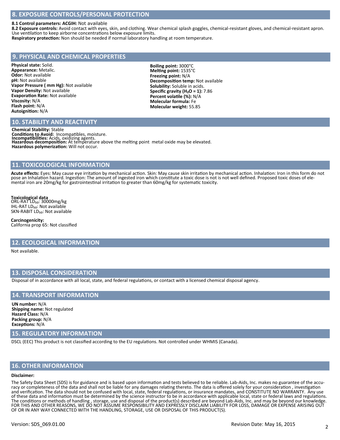# **8. EXPOSURE CONTROLS/PERSONAL PROTECTION**

#### **8.1 Control parameters: ACGIH:** Not available

**8.2 Exposure controls:** Avoid contact with eyes, skin, and clothing. Wear chemical splash goggles, chemical-resistant gloves, and chemical-resistant apron. Use ventilation to keep airborne concentrations below exposure limits.

**Respiratory protection:** Non should be needed if normal laboratory handling at room temperature.

# **9. PHYSICAL AND CHEMICAL PROPERTIES**

**Physical state:** Solid. **Appearance:** Metalic. **Odor:** Not available **pH:** Not available **Vapor Pressure ( mm Hg):** Not available **Vapor Density:** Not available **Evaporation Rate:** Not available **Viscosity:** N/A **Flash point:** N/A **Autoignition:** N/A

#### **Boiling point:** 3000°C **Melting point:** 1535°C **Freezing point:** N/A **Decomposition temp:** Not available **Solubility:** Soluble in acids. **Specific gravity (H₂O = 1):** 7.86 **Percent volatile (%):** N/A **Molecular formula:** Fe **Molecular weight:** 55.85

# **10. STABILITY AND REACTIVITY**

**Chemical Stability:** Stable **Conditions to Avoid:** Incompatibles, moisture. **Incompatibilities:** Acids, oxidizing agents. **Hazardous decomposition:** At temperature above the melting point metal oxide may be elevated. **Hazardous polymerization:** Will not occur.

#### **11. TOXICOLOGICAL INFORMATION**

**Acute effects:** Eyes: May cause eye irritation by mechanical action. Skin: May cause skin irritation by mechanical action. Inhalation: Iron in this form do not pose an Inhalation hazard. Ingestion: The amount of ingested iron which constitute a toxic dose is not is not well defined. Proposed toxic doses of elemental iron are 20mg/kg for gastrointestinal irritation to greater than 60mg/kg for systematic toxicity.

**Toxicological data** ORL-RAT LD<sub>50</sub>: 30000mg/kg IHL-RAT LD<sub>50</sub>: Not available SKN-RABIT LD<sub>50</sub>: Not available

#### **Carcinogenicity:**  California prop 65: Not classified

#### **12. ECOLOGICAL INFORMATION**

Not available.

#### **13. DISPOSAL CONSIDERATION**

Disposal of in accordance with all local, state, and federal regulations, or contact with a licensed chemical disposal agency.

#### **14. TRANSPORT INFORMATION**

**UN number:** N/A **Shipping name:** Not regulated **Hazard Class:** N/A **Packing group:** N/A **Exceptions:** N/A

#### **15. REGULATORY INFORMATION**

DSCL (EEC) This product is not classified according to the EU regulations. Not controlled under WHMIS (Canada).

#### **16. OTHER INFORMATION**

#### **Disclaimer:**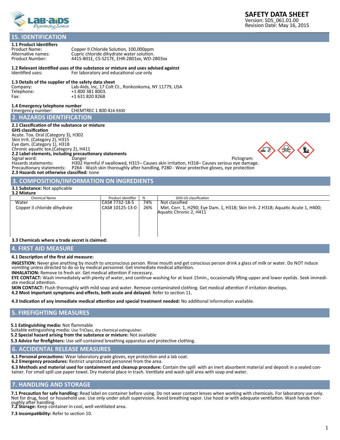

# **15. IDENTIFICATION**

**1.1 Product Identifiers**

Product Name: Copper II Chloride Solution, 100,000ppm Alternative names: Cupric chloride dihydrate water solution. Product Number: 441S-B01E, CS-S217E, EHR-2B01xx, WD-2B03xx

# **1.2 Relevant identified uses of the substance or mixture and uses advised against**

For laboratory and educational use only

# **1.3 Details of the supplier of the safety data sheet**

Company: Lab-Aids, Inc, 17 Colt Ct., Ronkonkoma, NY 11779, USA<br>Telephone: +1 800 381 8003. Telephone: +1 800 381 8003.<br>Fax: +1 631 820 8268 +1 631 820 8268

**1.4 Emergency telephone number** CHEMTREC 1 800 424-9300

**2. HAZARDS IDENTIFICATION**

#### **2.1 Classification of the substance or mixture**

#### **GHS classification**

Acute. Tox. Oral (Category 3), H302 Skin Irrit. (Category 2), H315 Eye dam. (Category 1), H318 Chronic aquatic tox.(Category 2), H411 **2.2 Label elements, including precautionary statements**

Signal word: Danger Pictogram: Hazards statements: H302 Harmful if swallowed, H315– Causes skin irritation, H318– Causes serious eye damage. Precautionary statements: P264 - Wash skin thoroughly after handling, P280 - Wear protective gloves, eye protection **2.3 Hazards not otherwise classified:** none

# **3. COMPOSITION/INFORMATION ON INGREDIENTS**

#### **3.1 Substance:** Not applicable



# **4. FIRST AID MEASURE**

# **4.1 Description of the first aid measure:**

**INGESTION:** Never give anything by mouth to unconscious person. Rinse mouth and get conscious person drink a glass of milk or water. Do NOT induce vomiting unless directed to do so by medical personnel. Get immediate medical attention.

**INHALATION:** Remove to fresh air. Get medical attention if necessary.

**EYE CONTACT:** Wash immediately with plenty of water, and continue washing for at least 15min., occasionally lifting upper and lower eyelids. Seek immediate medical attention.

**SKIN CONTACT:** Flush thoroughly with mild soap and water. Remove contaminated clothing. Get medical attention if irritation develops. **4.2 Most important symptoms and effects, both acute and delayed:** Refer to section 11.

**4.3 Indication of any immediate medical attention and special treatment needed:** No additional information available.

#### **5. FIREFIGHTING MEASURES**

**5.1 Extinguishing media:** Not flammable

Suitable extinguishing media: Use TriClass, dry chemical extinguisher.

**5.2 Special hazard arising from the substance or mixture:** Not available

**5.3 Advice for firefighters:** Use self-contained breathing apparatus and protective clothing.

#### **6. ACCIDENTAL RELEASE MEASURES**

**6.1 Personal precautions:** Wear laboratory grade gloves, eye protection and a lab coat.

**6.2 Emergency procedures:** Restrict unprotected personnel from the area.

**6.3 Methods and material used for containment and cleanup procedure:** Contain the spill with an inert absorbent material and deposit in a sealed container. For small spill use paper towel. Dry material place in trash. Ventilate and wash spill area with soap and water.

#### **7. HANDLING AND STORAGE**

**7.1 Precaution for safe handling:** Read label on container before using. Do not wear contact lenses when working with chemicals. For laboratory use only. Not for drug, food or household use. Use only under adult supervision. Avoid breathing vapor. Use hood or with adequate ventilation. Wash hands thoroughly after handling. **7.2 Storage:** Keep container in cool, well-ventilated area.